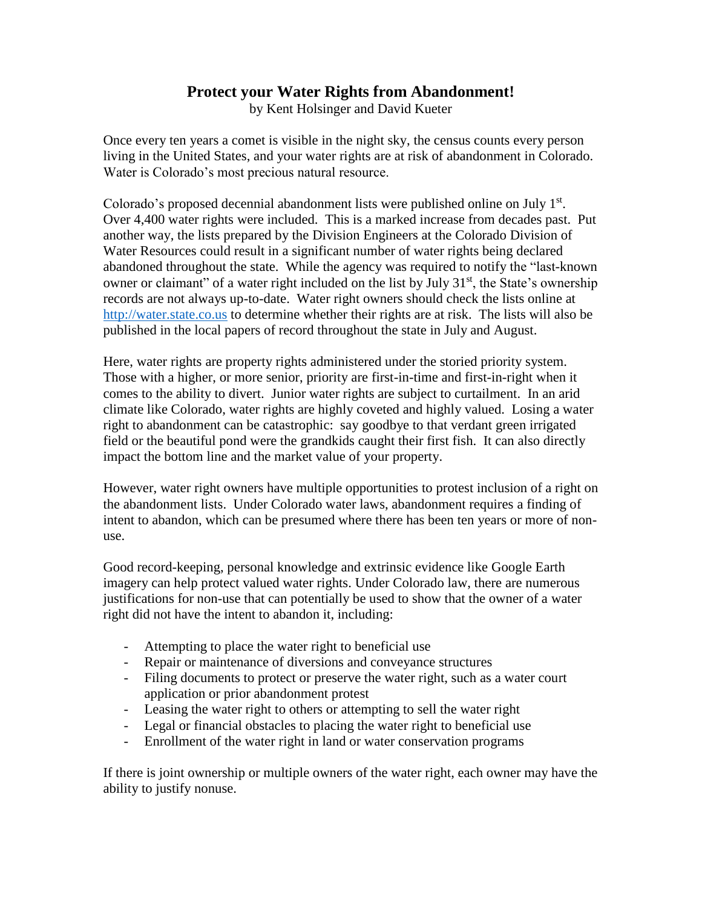## **Protect your Water Rights from Abandonment!**

by Kent Holsinger and David Kueter

Once every ten years a comet is visible in the night sky, the census counts every person living in the United States, and your water rights are at risk of abandonment in Colorado. Water is Colorado's most precious natural resource.

Colorado's proposed decennial abandonment lists were published online on July 1<sup>st</sup>. Over 4,400 water rights were included. This is a marked increase from decades past. Put another way, the lists prepared by the Division Engineers at the Colorado Division of Water Resources could result in a significant number of water rights being declared abandoned throughout the state. While the agency was required to notify the "last-known owner or claimant" of a water right included on the list by July 31<sup>st</sup>, the State's ownership records are not always up-to-date. Water right owners should check the lists online at [http://water.state.co.us](http://water.state.co.us/) to determine whether their rights are at risk. The lists will also be published in the local papers of record throughout the state in July and August.

Here, water rights are property rights administered under the storied priority system. Those with a higher, or more senior, priority are first-in-time and first-in-right when it comes to the ability to divert. Junior water rights are subject to curtailment. In an arid climate like Colorado, water rights are highly coveted and highly valued. Losing a water right to abandonment can be catastrophic: say goodbye to that verdant green irrigated field or the beautiful pond were the grandkids caught their first fish. It can also directly impact the bottom line and the market value of your property.

However, water right owners have multiple opportunities to protest inclusion of a right on the abandonment lists. Under Colorado water laws, abandonment requires a finding of intent to abandon, which can be presumed where there has been ten years or more of nonuse.

Good record-keeping, personal knowledge and extrinsic evidence like Google Earth imagery can help protect valued water rights. Under Colorado law, there are numerous justifications for non-use that can potentially be used to show that the owner of a water right did not have the intent to abandon it, including:

- Attempting to place the water right to beneficial use
- Repair or maintenance of diversions and conveyance structures
- Filing documents to protect or preserve the water right, such as a water court application or prior abandonment protest
- Leasing the water right to others or attempting to sell the water right
- Legal or financial obstacles to placing the water right to beneficial use
- Enrollment of the water right in land or water conservation programs

If there is joint ownership or multiple owners of the water right, each owner may have the ability to justify nonuse.